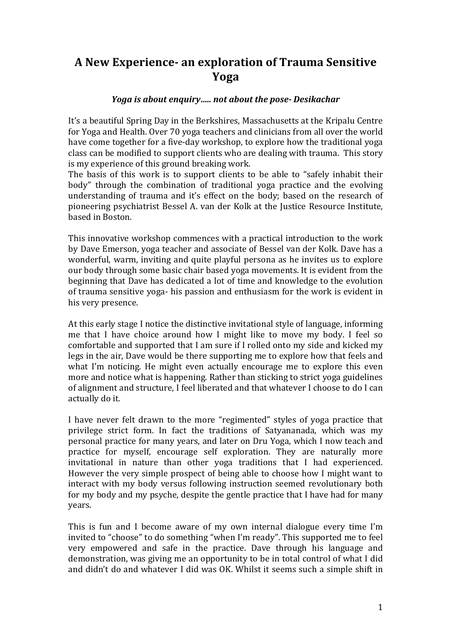# **A New Experience- an exploration of Trauma Sensitive Yoga**

#### *Yoga is about enquiry..... not about the pose- Desikachar*

It's a beautiful Spring Day in the Berkshires, Massachusetts at the Kripalu Centre for Yoga and Health. Over 70 yoga teachers and clinicians from all over the world have come together for a five-day workshop, to explore how the traditional yoga class can be modified to support clients who are dealing with trauma. This story is my experience of this ground breaking work.

The basis of this work is to support clients to be able to "safely inhabit their body" through the combination of traditional yoga practice and the evolving understanding of trauma and it's effect on the body; based on the research of pioneering psychiatrist Bessel A. van der Kolk at the Justice Resource Institute, based in Boston.

This innovative workshop commences with a practical introduction to the work by Dave Emerson, yoga teacher and associate of Bessel van der Kolk. Dave has a wonderful, warm, inviting and quite playful persona as he invites us to explore our body through some basic chair based voga movements. It is evident from the beginning that Dave has dedicated a lot of time and knowledge to the evolution of trauma sensitive yoga- his passion and enthusiasm for the work is evident in his very presence.

At this early stage I notice the distinctive invitational style of language, informing me that I have choice around how I might like to move my body. I feel so comfortable and supported that I am sure if I rolled onto my side and kicked my legs in the air, Dave would be there supporting me to explore how that feels and what I'm noticing. He might even actually encourage me to explore this even more and notice what is happening. Rather than sticking to strict yoga guidelines of alignment and structure. I feel liberated and that whatever I choose to do I can actually do it.

I have never felt drawn to the more "regimented" styles of yoga practice that privilege strict form. In fact the traditions of Satyananada, which was my personal practice for many years, and later on Dru Yoga, which I now teach and practice for myself, encourage self exploration. They are naturally more invitational in nature than other yoga traditions that I had experienced. However the very simple prospect of being able to choose how I might want to interact with my body versus following instruction seemed revolutionary both for my body and my psyche, despite the gentle practice that I have had for many years.

This is fun and I become aware of my own internal dialogue every time I'm invited to "choose" to do something "when I'm ready". This supported me to feel very empowered and safe in the practice. Dave through his language and demonstration, was giving me an opportunity to be in total control of what I did and didn't do and whatever I did was OK. Whilst it seems such a simple shift in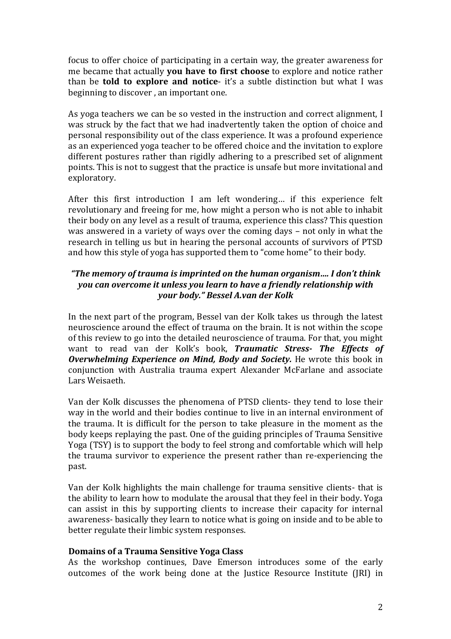focus to offer choice of participating in a certain way, the greater awareness for me became that actually **you have to first choose** to explore and notice rather than be **told to explore and notice**- it's a subtle distinction but what I was beginning to discover, an important one.

As voga teachers we can be so vested in the instruction and correct alignment. I was struck by the fact that we had inadvertently taken the option of choice and personal responsibility out of the class experience. It was a profound experience as an experienced yoga teacher to be offered choice and the invitation to explore different postures rather than rigidly adhering to a prescribed set of alignment points. This is not to suggest that the practice is unsafe but more invitational and exploratory. 

After this first introduction I am left wondering... if this experience felt revolutionary and freeing for me, how might a person who is not able to inhabit their body on any level as a result of trauma, experience this class? This question was answered in a variety of ways over the coming days  $-$  not only in what the research in telling us but in hearing the personal accounts of survivors of PTSD and how this style of yoga has supported them to "come home" to their body.

### *"The memory of trauma is imprinted on the human organism.... I don't think you can overcome it unless you learn to have a friendly relationship with your body." Bessel A.van der Kolk*

In the next part of the program, Bessel van der Kolk takes us through the latest neuroscience around the effect of trauma on the brain. It is not within the scope of this review to go into the detailed neuroscience of trauma. For that, you might want to read van der Kolk's book, **Traumatic Stress- The Effects of Overwhelming Experience on Mind, Body and Society.** He wrote this book in conjunction with Australia trauma expert Alexander McFarlane and associate Lars Weisaeth. 

Van der Kolk discusses the phenomena of PTSD clients- they tend to lose their way in the world and their bodies continue to live in an internal environment of the trauma. It is difficult for the person to take pleasure in the moment as the body keeps replaying the past. One of the guiding principles of Trauma Sensitive Yoga (TSY) is to support the body to feel strong and comfortable which will help the trauma survivor to experience the present rather than re-experiencing the past. 

Van der Kolk highlights the main challenge for trauma sensitive clients- that is the ability to learn how to modulate the arousal that they feel in their body. Yoga can assist in this by supporting clients to increase their capacity for internal awareness- basically they learn to notice what is going on inside and to be able to better regulate their limbic system responses.

#### **Domains of a Trauma Sensitive Yoga Class**

As the workshop continues, Dave Emerson introduces some of the early outcomes of the work being done at the Justice Resource Institute (JRI) in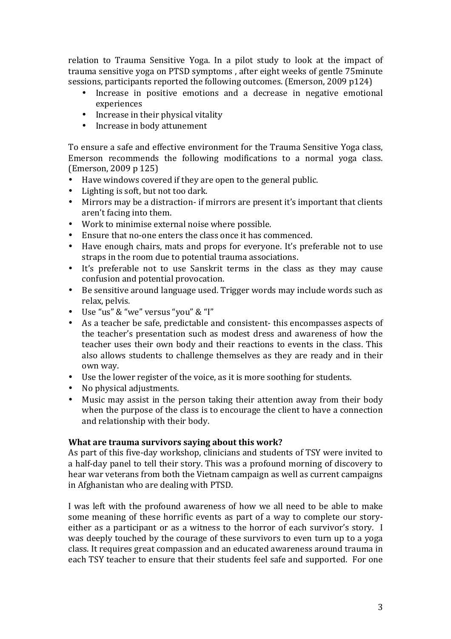relation to Trauma Sensitive Yoga. In a pilot study to look at the impact of trauma sensitive voga on PTSD symptoms, after eight weeks of gentle 75minute sessions, participants reported the following outcomes. (Emerson, 2009 p124)

- Increase in positive emotions and a decrease in negative emotional experiences
- $\bullet$  Increase in their physical vitality
- Increase in body attunement

To ensure a safe and effective environment for the Trauma Sensitive Yoga class, Emerson recommends the following modifications to a normal yoga class. (Emerson, 2009 p 125)

- Have windows covered if they are open to the general public.
- Lighting is soft, but not too dark.
- Mirrors may be a distraction- if mirrors are present it's important that clients aren't facing into them.
- Work to minimise external noise where possible.
- Ensure that no-one enters the class once it has commenced.
- Have enough chairs, mats and props for everyone. It's preferable not to use straps in the room due to potential trauma associations.
- It's preferable not to use Sanskrit terms in the class as they may cause confusion and potential provocation.
- Be sensitive around language used. Trigger words may include words such as relax, pelvis.
- Use "us" & "we" versus "you" & "I"
- As a teacher be safe, predictable and consistent- this encompasses aspects of the teacher's presentation such as modest dress and awareness of how the teacher uses their own body and their reactions to events in the class. This also allows students to challenge themselves as they are ready and in their own way.
- Use the lower register of the voice, as it is more soothing for students.<br>• No physical adjustments.
- No physical adjustments.
- Music may assist in the person taking their attention away from their body when the purpose of the class is to encourage the client to have a connection and relationship with their body.

## **What are trauma survivors saying about this work?**

As part of this five-day workshop, clinicians and students of TSY were invited to a half-day panel to tell their story. This was a profound morning of discovery to hear war veterans from both the Vietnam campaign as well as current campaigns in Afghanistan who are dealing with PTSD.

I was left with the profound awareness of how we all need to be able to make some meaning of these horrific events as part of a way to complete our storyeither as a participant or as a witness to the horror of each survivor's story. I was deeply touched by the courage of these survivors to even turn up to a yoga class. It requires great compassion and an educated awareness around trauma in each TSY teacher to ensure that their students feel safe and supported. For one